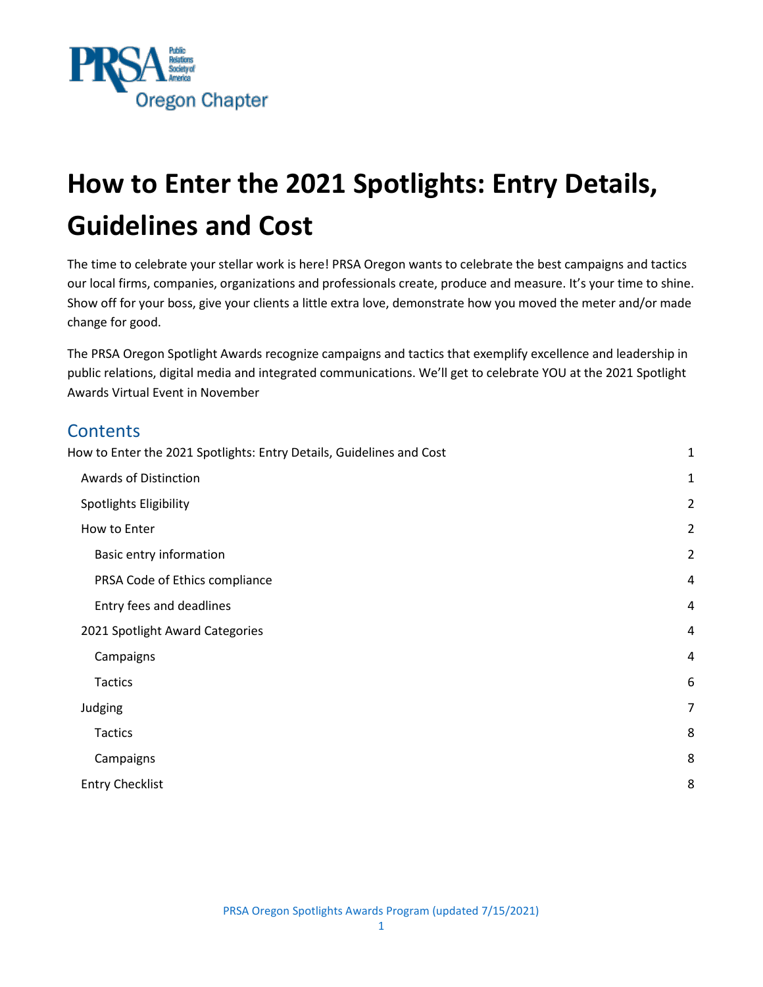

# <span id="page-0-0"></span>**How to Enter the 2021 Spotlights: Entry Details, Guidelines and Cost**

The time to celebrate your stellar work is here! PRSA Oregon wants to celebrate the best campaigns and tactics our local firms, companies, organizations and professionals create, produce and measure. It's your time to shine. Show off for your boss, give your clients a little extra love, demonstrate how you moved the meter and/or made change for good.

The PRSA Oregon Spotlight Awards recognize campaigns and tactics that exemplify excellence and leadership in public relations, digital media and integrated communications. We'll get to celebrate YOU at the 2021 Spotlight Awards Virtual Event in November

# **Contents** [How to Enter the 2021](#page-0-0) [Spotlights: Entry Details, Guidelines and Cost](#page-0-0) 150 and 150 and 150 and 160 and 160 and 160 and 160 and 160 and 160 and 160 and 160 and 160 and 160 and 160 and 160 and 160 and 160 and 160 and 160 and 1 [Awards of Distinction](#page-1-0) 1 [Spotlights Eligibility](#page-1-1) 2 [How to Enter](#page-1-2) 22 and 22 and 22 and 22 and 22 and 22 and 22 and 22 and 23 and 23 and 23 and 23 and 23 and 23 and 23 and 23 and 23 and 23 and 23 and 23 and 23 and 23 and 23 and 23 and 23 and 23 and 23 and 23 and 23 and 23 and [Basic entry information](#page-1-3) 2 **[PRSA Code of Ethics compliance](#page-3-0) 4 and 20 years 10 years 10 years 10 years 10 years 10 years 10 years 10 years 10 years 10 years 10 years 10 years 10 years 10 years 10 years 10 years 10 years 10 years 10 years 10 years 10 y** [Entry fees and deadlines](#page-3-1) 4 [2021](#page-3-2) [Spotlight Award Categories](#page-3-2) 4 [Campaigns](#page-3-3) 4 [Tactics](#page-5-0) 6 [Judging](#page-7-0) 7 **[Tactics](#page-7-1)** 8 [Campaigns](#page-7-2) 8 [Entry Checklist](#page-8-0) 8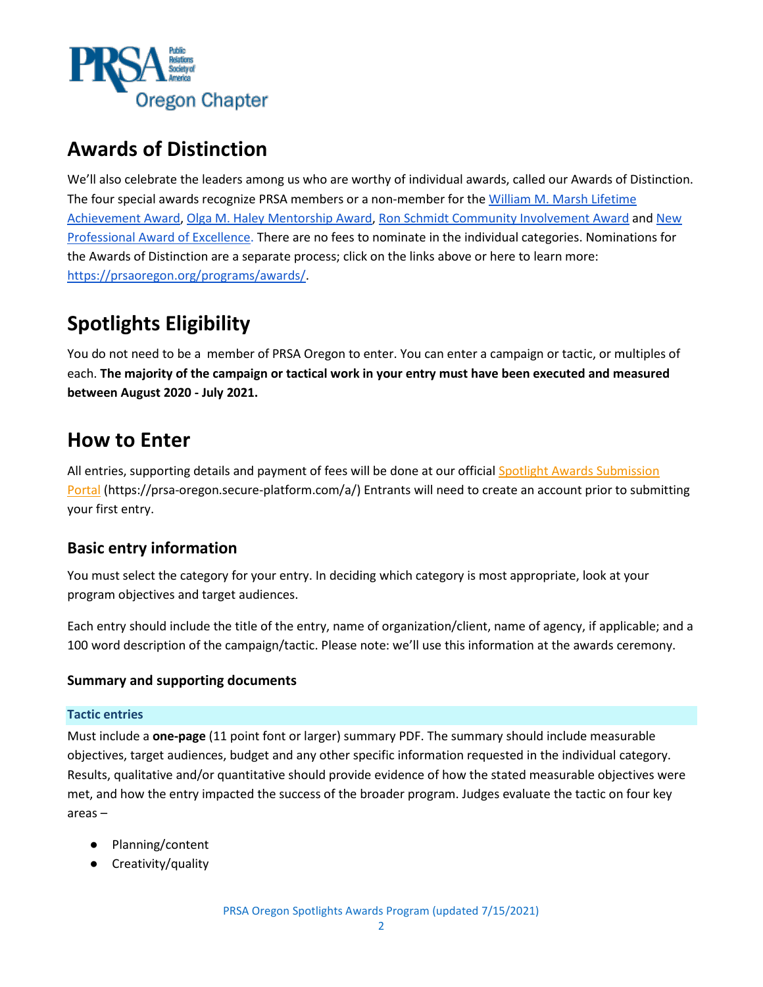

## <span id="page-1-0"></span>**Awards of Distinction**

We'll also celebrate the leaders among us who are worthy of individual awards, called our Awards of Distinction. The four special awards recognize PRSA members or a non-member for the William M. Marsh Lifetime [Achievement Award,](https://prsaoregon.org/programs/awards/william-w-marsh-lifetime-achievement-award/) [Olga M. Haley Mentorship Award,](https://prsaoregon.org/programs/awards/olga-m-haley-mentorship-award/) [Ron Schmidt Community Involvement Award](https://prsaoregon.org/programs/awards/ron-schmidt-community-involvement-award/) and [New](https://prsaoregon.org/programs/awards/new-professional-award-excellence/)  [Professional Award of Excellence.](https://prsaoregon.org/programs/awards/new-professional-award-excellence/) There are no fees to nominate in the individual categories. Nominations for the Awards of Distinction are a separate process; click on the links above or here to learn more: [https://prsaoregon.org/programs/awards/.](https://prsaoregon.org/programs/awards/)

# <span id="page-1-1"></span>**Spotlights Eligibility**

You do not need to be a member of PRSA Oregon to enter. You can enter a campaign or tactic, or multiples of each. **The majority of the campaign or tactical work in your entry must have been executed and measured between August 2020 - July 2021.**

### <span id="page-1-2"></span>**How to Enter**

All entries, supporting details and payment of fees will be done at our official Spotlight Awards Submission [Portal](https://prsa-oregon.secure-platform.com/a/) (https://prsa-oregon.secure-platform.com/a/) Entrants will need to create an account prior to submitting your first entry.

### <span id="page-1-3"></span>**Basic entry information**

You must select the category for your entry. In deciding which category is most appropriate, look at your program objectives and target audiences.

Each entry should include the title of the entry, name of organization/client, name of agency, if applicable; and a 100 word description of the campaign/tactic. Please note: we'll use this information at the awards ceremony.

#### **Summary and supporting documents**

#### **Tactic entries**

Must include a **one-page** (11 point font or larger) summary PDF. The summary should include measurable objectives, target audiences, budget and any other specific information requested in the individual category. Results, qualitative and/or quantitative should provide evidence of how the stated measurable objectives were met, and how the entry impacted the success of the broader program. Judges evaluate the tactic on four key areas –

- Planning/content
- Creativity/quality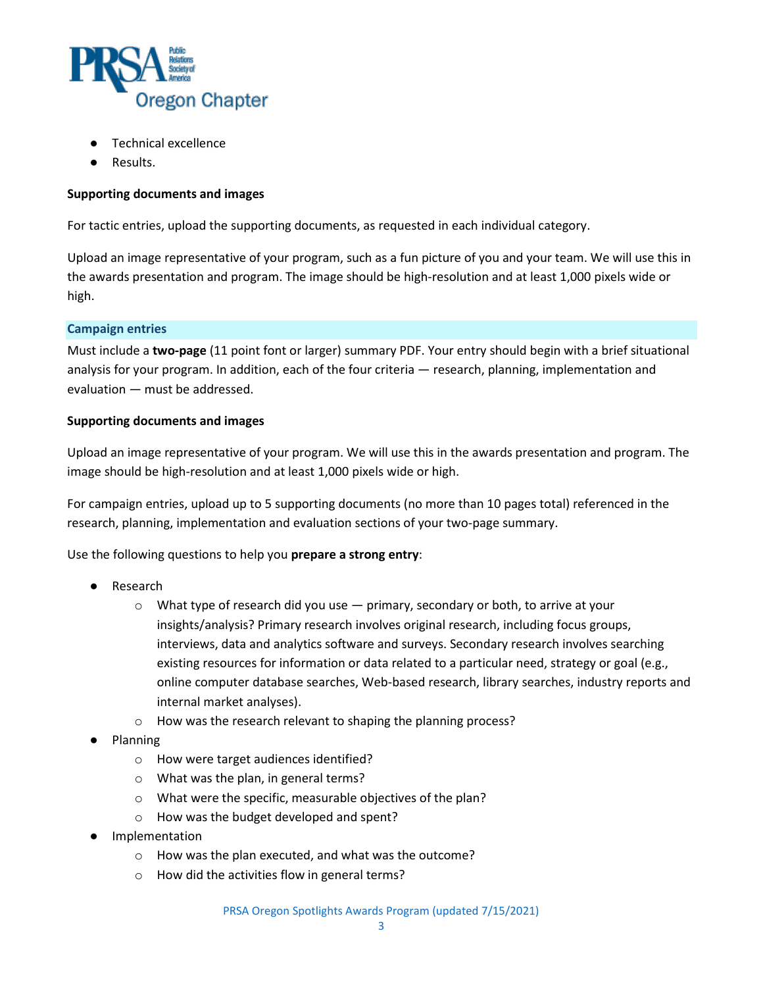

- Technical excellence
- Results.

#### **Supporting documents and images**

For tactic entries, upload the supporting documents, as requested in each individual category.

Upload an image representative of your program, such as a fun picture of you and your team. We will use this in the awards presentation and program. The image should be high-resolution and at least 1,000 pixels wide or high.

#### **Campaign entries**

Must include a **two-page** (11 point font or larger) summary PDF. Your entry should begin with a brief situational analysis for your program. In addition, each of the four criteria — research, planning, implementation and evaluation — must be addressed.

#### **Supporting documents and images**

Upload an image representative of your program. We will use this in the awards presentation and program. The image should be high-resolution and at least 1,000 pixels wide or high.

For campaign entries, upload up to 5 supporting documents (no more than 10 pages total) referenced in the research, planning, implementation and evaluation sections of your two-page summary.

Use the following questions to help you **prepare a strong entry**:

- **Research** 
	- $\circ$  What type of research did you use  $-$  primary, secondary or both, to arrive at your insights/analysis? Primary research involves original research, including focus groups, interviews, data and analytics software and surveys. Secondary research involves searching existing resources for information or data related to a particular need, strategy or goal (e.g., online computer database searches, Web-based research, library searches, industry reports and internal market analyses).
	- o How was the research relevant to shaping the planning process?
- **Planning** 
	- o How were target audiences identified?
	- o What was the plan, in general terms?
	- o What were the specific, measurable objectives of the plan?
	- o How was the budget developed and spent?
- Implementation
	- o How was the plan executed, and what was the outcome?
	- o How did the activities flow in general terms?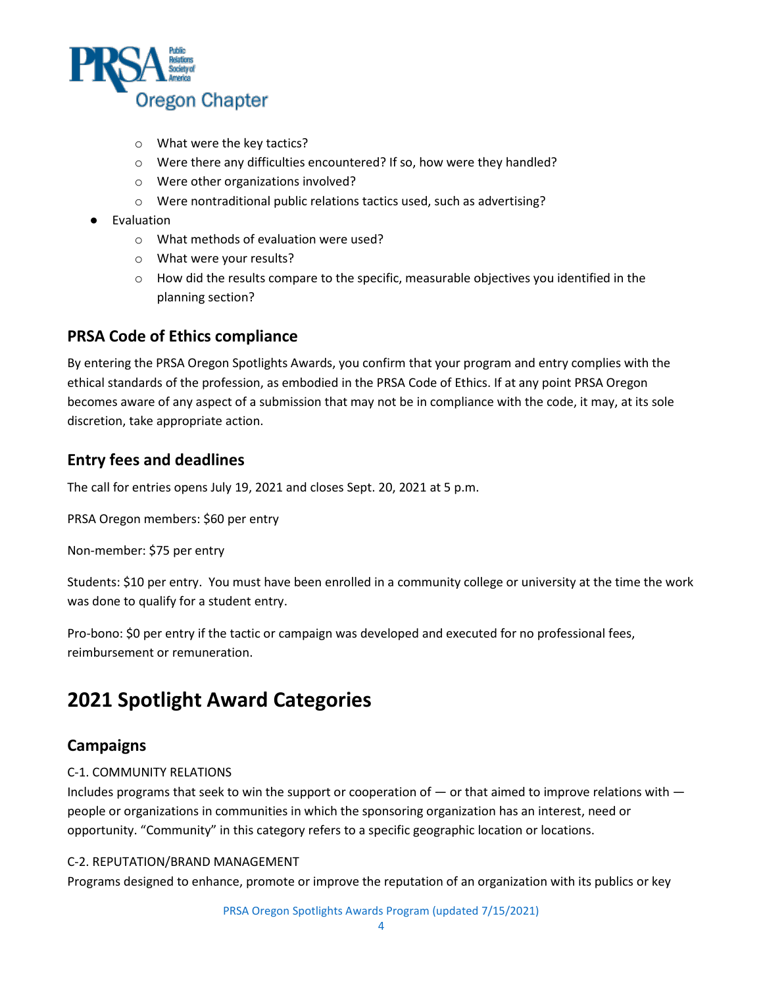

- o What were the key tactics?
- o Were there any difficulties encountered? If so, how were they handled?
- o Were other organizations involved?
- o Were nontraditional public relations tactics used, such as advertising?
- Evaluation
	- o What methods of evaluation were used?
	- o What were your results?
	- $\circ$  How did the results compare to the specific, measurable objectives you identified in the planning section?

#### <span id="page-3-0"></span>**PRSA Code of Ethics compliance**

By entering the PRSA Oregon Spotlights Awards, you confirm that your program and entry complies with the ethical standards of the profession, as embodied in the PRSA Code of Ethics. If at any point PRSA Oregon becomes aware of any aspect of a submission that may not be in compliance with the code, it may, at its sole discretion, take appropriate action.

### <span id="page-3-1"></span>**Entry fees and deadlines**

The call for entries opens July 19, 2021 and closes Sept. 20, 2021 at 5 p.m.

PRSA Oregon members: \$60 per entry

Non-member: \$75 per entry

Students: \$10 per entry. You must have been enrolled in a community college or university at the time the work was done to qualify for a student entry.

Pro-bono: \$0 per entry if the tactic or campaign was developed and executed for no professional fees, reimbursement or remuneration.

## <span id="page-3-2"></span>**2021 Spotlight Award Categories**

#### <span id="page-3-3"></span>**Campaigns**

#### C-1. COMMUNITY RELATIONS

Includes programs that seek to win the support or cooperation of — or that aimed to improve relations with people or organizations in communities in which the sponsoring organization has an interest, need or opportunity. "Community" in this category refers to a specific geographic location or locations.

#### C-2. REPUTATION/BRAND MANAGEMENT

Programs designed to enhance, promote or improve the reputation of an organization with its publics or key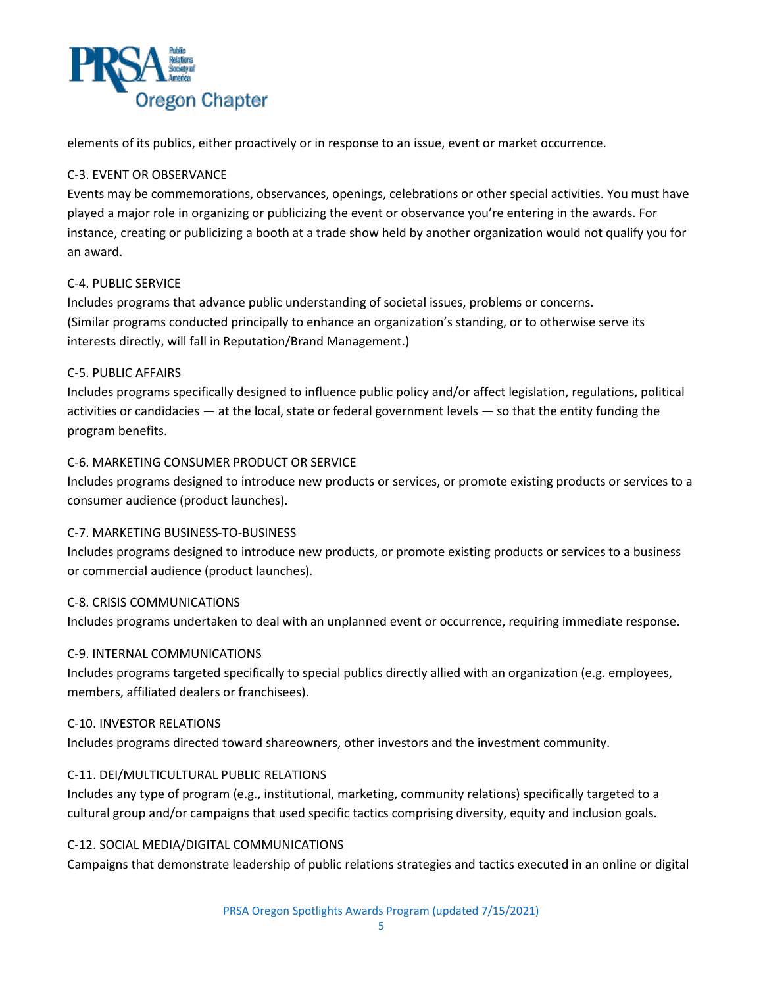

elements of its publics, either proactively or in response to an issue, event or market occurrence.

#### C-3. EVENT OR OBSERVANCE

Events may be commemorations, observances, openings, celebrations or other special activities. You must have played a major role in organizing or publicizing the event or observance you're entering in the awards. For instance, creating or publicizing a booth at a trade show held by another organization would not qualify you for an award.

#### C-4. PUBLIC SERVICE

Includes programs that advance public understanding of societal issues, problems or concerns. (Similar programs conducted principally to enhance an organization's standing, or to otherwise serve its interests directly, will fall in Reputation/Brand Management.)

#### C-5. PUBLIC AFFAIRS

Includes programs specifically designed to influence public policy and/or affect legislation, regulations, political activities or candidacies — at the local, state or federal government levels — so that the entity funding the program benefits.

#### C-6. MARKETING CONSUMER PRODUCT OR SERVICE

Includes programs designed to introduce new products or services, or promote existing products or services to a consumer audience (product launches).

#### C-7. MARKETING BUSINESS-TO-BUSINESS

Includes programs designed to introduce new products, or promote existing products or services to a business or commercial audience (product launches).

#### C-8. CRISIS COMMUNICATIONS

Includes programs undertaken to deal with an unplanned event or occurrence, requiring immediate response.

#### C-9. INTERNAL COMMUNICATIONS

Includes programs targeted specifically to special publics directly allied with an organization (e.g. employees, members, affiliated dealers or franchisees).

#### C-10. INVESTOR RELATIONS

Includes programs directed toward shareowners, other investors and the investment community.

#### C-11. DEI/MULTICULTURAL PUBLIC RELATIONS

Includes any type of program (e.g., institutional, marketing, community relations) specifically targeted to a cultural group and/or campaigns that used specific tactics comprising diversity, equity and inclusion goals.

#### C-12. SOCIAL MEDIA/DIGITAL COMMUNICATIONS

Campaigns that demonstrate leadership of public relations strategies and tactics executed in an online or digital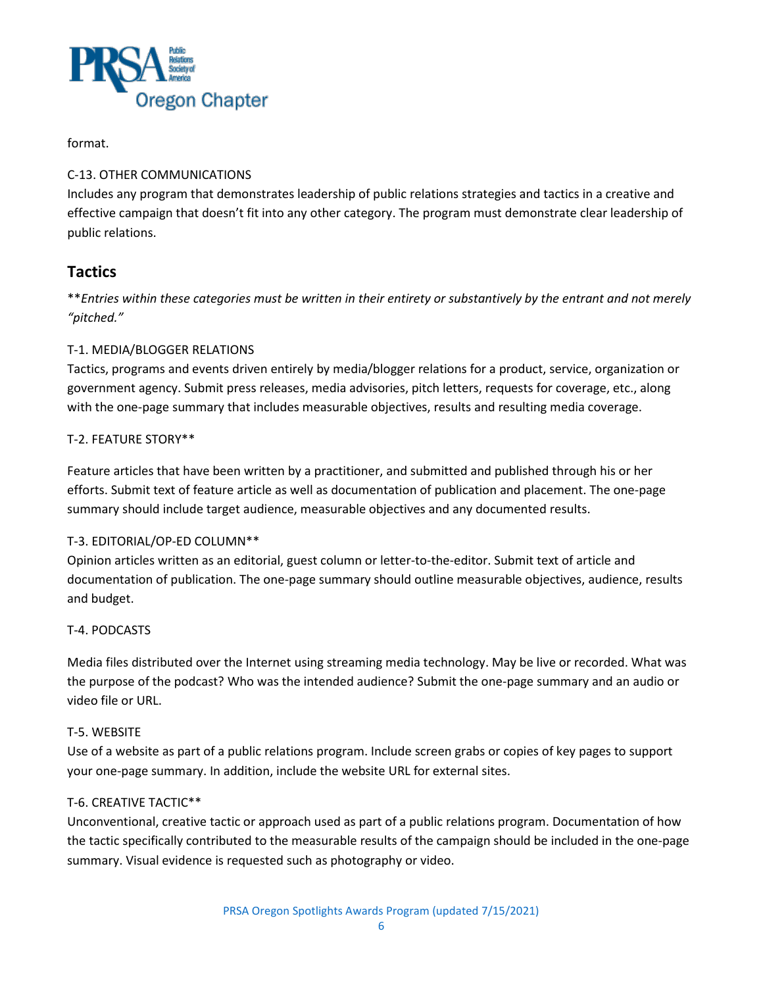

#### format.

#### C-13. OTHER COMMUNICATIONS

Includes any program that demonstrates leadership of public relations strategies and tactics in a creative and effective campaign that doesn't fit into any other category. The program must demonstrate clear leadership of public relations.

### <span id="page-5-0"></span>**Tactics**

\*\**Entries within these categories must be written in their entirety or substantively by the entrant and not merely "pitched."*

#### T-1. MEDIA/BLOGGER RELATIONS

Tactics, programs and events driven entirely by media/blogger relations for a product, service, organization or government agency. Submit press releases, media advisories, pitch letters, requests for coverage, etc., along with the one-page summary that includes measurable objectives, results and resulting media coverage.

#### T-2. FEATURE STORY\*\*

Feature articles that have been written by a practitioner, and submitted and published through his or her efforts. Submit text of feature article as well as documentation of publication and placement. The one-page summary should include target audience, measurable objectives and any documented results.

#### T-3. EDITORIAL/OP-ED COLUMN\*\*

Opinion articles written as an editorial, guest column or letter-to-the-editor. Submit text of article and documentation of publication. The one-page summary should outline measurable objectives, audience, results and budget.

#### T-4. PODCASTS

Media files distributed over the Internet using streaming media technology. May be live or recorded. What was the purpose of the podcast? Who was the intended audience? Submit the one-page summary and an audio or video file or URL.

#### T-5. WEBSITE

Use of a website as part of a public relations program. Include screen grabs or copies of key pages to support your one-page summary. In addition, include the website URL for external sites.

#### T-6. CREATIVE TACTIC\*\*

Unconventional, creative tactic or approach used as part of a public relations program. Documentation of how the tactic specifically contributed to the measurable results of the campaign should be included in the one-page summary. Visual evidence is requested such as photography or video.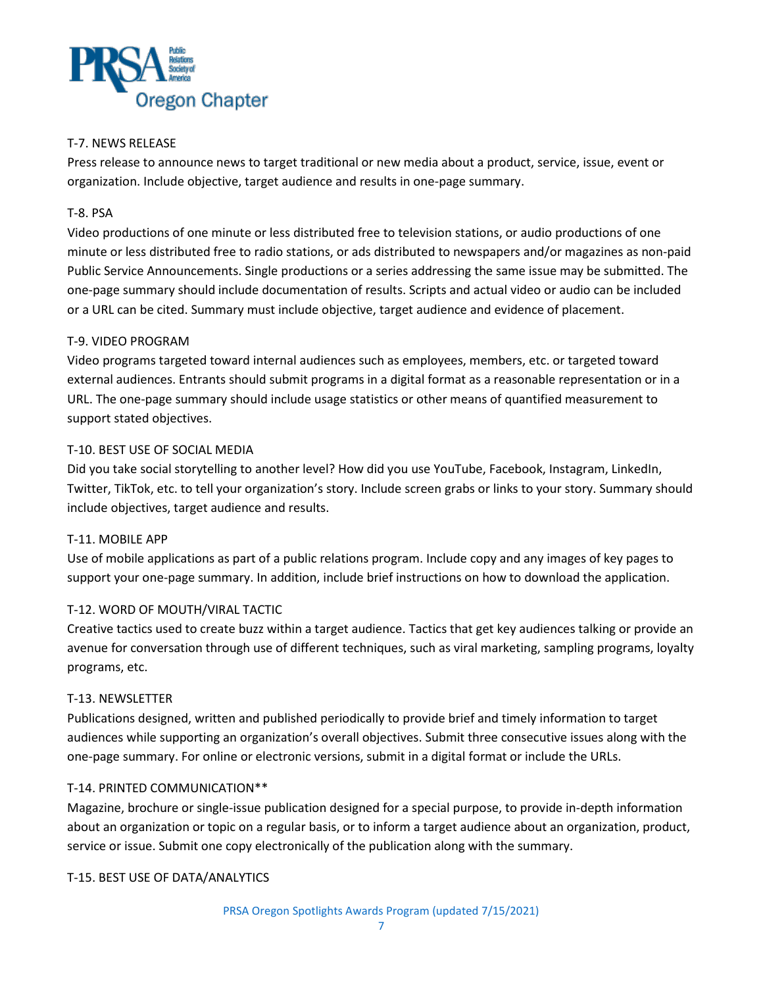

#### T-7. NEWS RELEASE

Press release to announce news to target traditional or new media about a product, service, issue, event or organization. Include objective, target audience and results in one-page summary.

#### T-8. PSA

Video productions of one minute or less distributed free to television stations, or audio productions of one minute or less distributed free to radio stations, or ads distributed to newspapers and/or magazines as non-paid Public Service Announcements. Single productions or a series addressing the same issue may be submitted. The one-page summary should include documentation of results. Scripts and actual video or audio can be included or a URL can be cited. Summary must include objective, target audience and evidence of placement.

#### T-9. VIDEO PROGRAM

Video programs targeted toward internal audiences such as employees, members, etc. or targeted toward external audiences. Entrants should submit programs in a digital format as a reasonable representation or in a URL. The one-page summary should include usage statistics or other means of quantified measurement to support stated objectives.

#### T-10. BEST USE OF SOCIAL MEDIA

Did you take social storytelling to another level? How did you use YouTube, Facebook, Instagram, LinkedIn, Twitter, TikTok, etc. to tell your organization's story. Include screen grabs or links to your story. Summary should include objectives, target audience and results.

#### T-11. MOBILE APP

Use of mobile applications as part of a public relations program. Include copy and any images of key pages to support your one-page summary. In addition, include brief instructions on how to download the application.

#### T-12. WORD OF MOUTH/VIRAL TACTIC

Creative tactics used to create buzz within a target audience. Tactics that get key audiences talking or provide an avenue for conversation through use of different techniques, such as viral marketing, sampling programs, loyalty programs, etc.

#### T-13. NEWSLETTER

Publications designed, written and published periodically to provide brief and timely information to target audiences while supporting an organization's overall objectives. Submit three consecutive issues along with the one-page summary. For online or electronic versions, submit in a digital format or include the URLs.

#### T-14. PRINTED COMMUNICATION\*\*

Magazine, brochure or single-issue publication designed for a special purpose, to provide in-depth information about an organization or topic on a regular basis, or to inform a target audience about an organization, product, service or issue. Submit one copy electronically of the publication along with the summary.

#### T-15. BEST USE OF DATA/ANALYTICS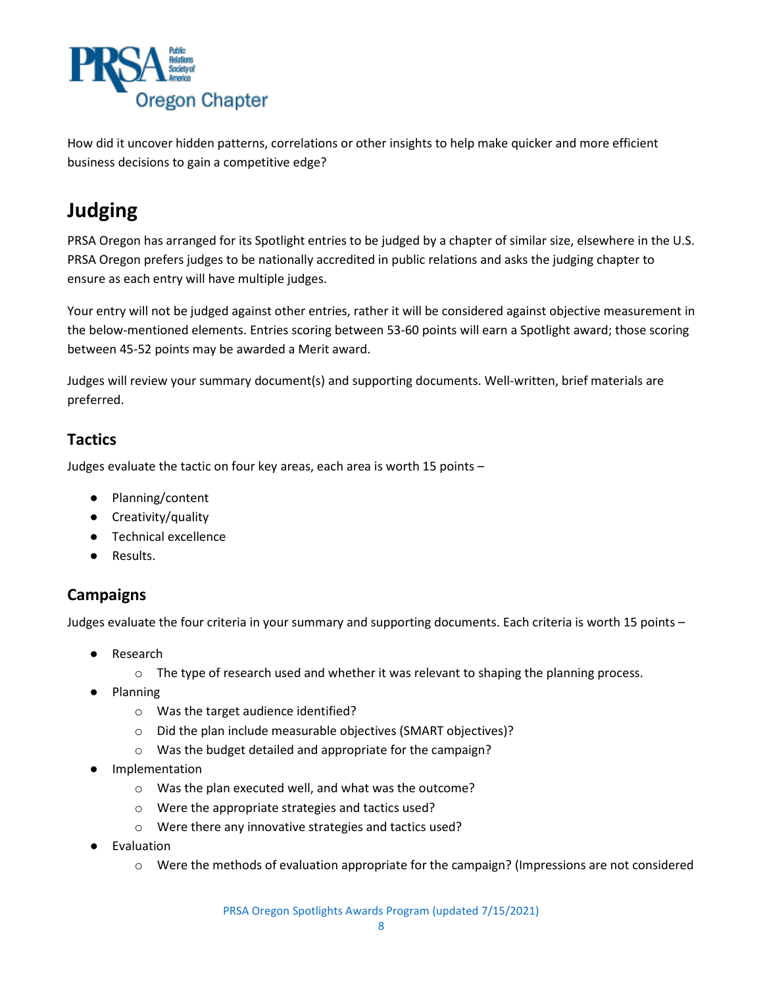

How did it uncover hidden patterns, correlations or other insights to help make quicker and more efficient business decisions to gain a competitive edge?

# <span id="page-7-0"></span>**Judging**

PRSA Oregon has arranged for its Spotlight entries to be judged by a chapter of similar size, elsewhere in the U.S. PRSA Oregon prefers judges to be nationally accredited in public relations and asks the judging chapter to ensure as each entry will have multiple judges.

Your entry will not be judged against other entries, rather it will be considered against objective measurement in the below-mentioned elements. Entries scoring between 53-60 points will earn a Spotlight award; those scoring between 45-52 points may be awarded a Merit award.

Judges will review your summary document(s) and supporting documents. Well-written, brief materials are preferred.

### <span id="page-7-1"></span>**Tactics**

Judges evaluate the tactic on four key areas, each area is worth 15 points –

- Planning/content
- Creativity/quality
- Technical excellence
- Results.

### <span id="page-7-2"></span>**Campaigns**

Judges evaluate the four criteria in your summary and supporting documents. Each criteria is worth 15 points –

- Research
	- $\circ$  The type of research used and whether it was relevant to shaping the planning process.
- **Planning** 
	- o Was the target audience identified?
	- o Did the plan include measurable objectives (SMART objectives)?
	- o Was the budget detailed and appropriate for the campaign?
- **Implementation** 
	- o Was the plan executed well, and what was the outcome?
	- o Were the appropriate strategies and tactics used?
	- o Were there any innovative strategies and tactics used?
- **Evaluation** 
	- o Were the methods of evaluation appropriate for the campaign? (Impressions are not considered